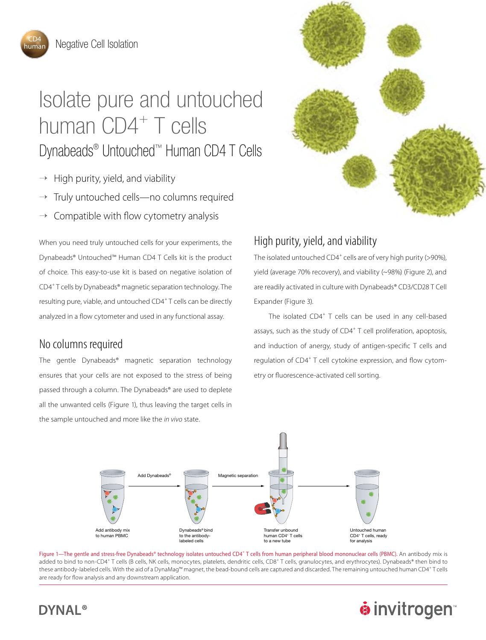iuma

## Isolate pure and untouched human CD4<sup>+</sup> T cells Dynabeads® Untouched™ Human CD4 T Cells

- $\rightarrow$  High purity, yield, and viability
- Truly untouched cells—no columns required
- $\rightarrow$  Compatible with flow cytometry analysis

When you need truly untouched cells for your experiments, the Dynabeads® Untouched™ Human CD4 T Cells kit is the product of choice. This easy-to-use kit is based on negative isolation of CD4<sup>+</sup> T cells by Dynabeads® magnetic separation technology. The resulting pure, viable, and untouched CD4<sup>+</sup> T cells can be directly analyzed in a flow cytometer and used in any functional assay.

## No columns required

The gentle Dynabeads® magnetic separation technology ensures that your cells are not exposed to the stress of being passed through a column. The Dynabeads® are used to deplete all the unwanted cells (Figure 1), thus leaving the target cells in the sample untouched and more like the *in vivo* state.



## High purity, yield, and viability

The isolated untouched CD4<sup>+</sup> cells are of very high purity (>90%), yield (average 70% recovery), and viability (~98%) (Figure 2), and are readily activated in culture with Dynabeads® CD3/CD28 T Cell Expander (Figure 3).

The isolated CD4<sup>+</sup> T cells can be used in any cell-based assays, such as the study of CD4<sup>+</sup> T cell proliferation, apoptosis, and induction of anergy, study of antigen-specific T cells and regulation of CD4<sup>+</sup> T cell cytokine expression, and flow cytometry or fluorescence-activated cell sorting.



Figure 1—The gentle and stress-free Dynabeads® technology isolates untouched CD4<sup>+</sup> T cells from human peripheral blood mononuclear cells (PBMC). An antibody mix is added to bind to non-CD4<sup>+</sup> T cells (B cells, NK cells, monocytes, platelets, dendritic cells, CD8<sup>+</sup> T cells, granulocytes, and erythrocytes). Dynabeads® then bind to these antibody-labeled cells. With the aid of a DynaMag™ magnet, the bead-bound cells are captured and discarded. The remaining untouched human CD4<sup>+</sup>T cells are ready for flow analysis and any downstream application.